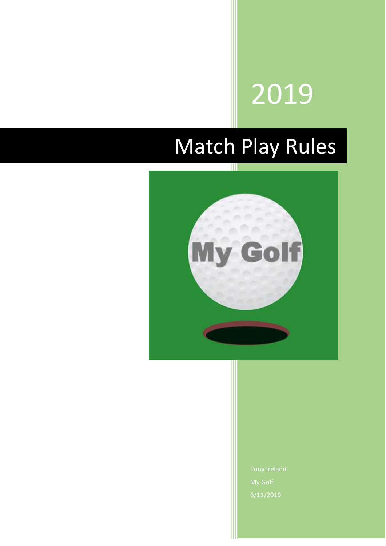# 2019

# Match Play Rules

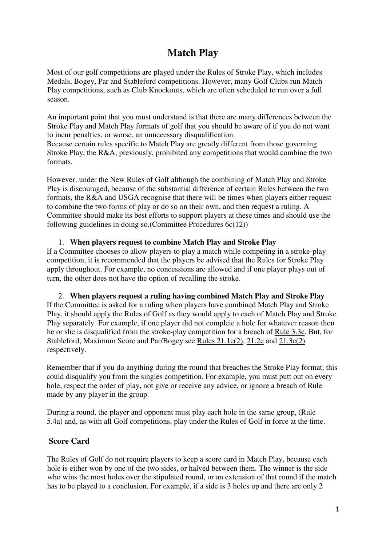# **Match Play**

Most of our golf competitions are played under the Rules of Stroke Play, which includes Medals, Bogey, Par and Stableford competitions. However, many Golf Clubs run Match Play competitions, such as Club Knockouts, which are often scheduled to run over a full season.

An important point that you must understand is that there are many differences between the Stroke Play and Match Play formats of golf that you should be aware of if you do not want to incur penalties, or worse, an unnecessary disqualification.

Because certain rules specific to Match Play are greatly different from those governing Stroke Play, the R&A, previously, prohibited any competitions that would combine the two formats.

However, under the New Rules of Golf although the combining of Match Play and Stroke Play is discouraged, because of the substantial difference of certain Rules between the two formats, the R&A and USGA recognise that there will be times when players either request to combine the two forms of play or do so on their own, and then request a ruling. A Committee should make its best efforts to support players at these times and should use the following guidelines in doing so.(Committee Procedures  $6c(12)$ )

#### 1. **When players request to combine Match Play and Stroke Play**

If a Committee chooses to allow players to play a match while competing in a stroke-play competition, it is recommended that the players be advised that the Rules for Stroke Play apply throughout. For example, no concessions are allowed and if one player plays out of turn, the other does not have the option of recalling the stroke.

2. **When players request a ruling having combined Match Play and Stroke Play** If the Committee is asked for a ruling when players have combined Match Play and Stroke Play, it should apply the Rules of Golf as they would apply to each of Match Play and Stroke Play separately. For example, if one player did not complete a hole for whatever reason then he or she is disqualified from the stroke-play competition for a breach of [Rule 3.3c.](https://www.randa.org/en/rog/2019/rules/the-rules-of-golf/rule-3#3-3c) But, for Stableford, Maximum Score and Par/Bogey see [Rules 21.1c\(2\),](https://www.randa.org/en/rog/2019/rules/the-rules-of-golf/rule-21#21-1c) [21.2c](https://www.randa.org/en/rog/2019/rules/the-rules-of-golf/rule-21#21-2c) and [21.3c\(2\)](https://www.randa.org/en/rog/2019/rules/the-rules-of-golf/rule-21#21-3c)  respectively.

Remember that if you do anything during the round that breaches the Stroke Play format, this could disqualify you from the singles competition. For example, you must putt out on every hole, respect the order of play, not give or receive any advice, or ignore a breach of Rule made by any player in the group.

During a round, the player and opponent must play each hole in the same group, (Rule 5.4a) and, as with all Golf competitions, play under the Rules of Golf in force at the time.

#### **Score Card**

The Rules of Golf do not require players to keep a score card in Match Play, because each hole is either won by one of the two sides, or halved between them. The winner is the side who wins the most holes over the stipulated round, or an extension of that round if the match has to be played to a conclusion. For example, if a side is 3 holes up and there are only 2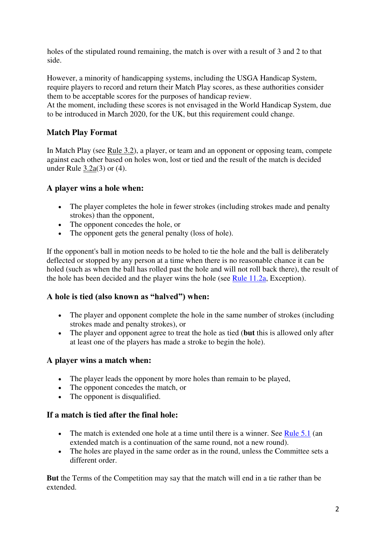holes of the stipulated round remaining, the match is over with a result of 3 and 2 to that side.

However, a minority of handicapping systems, including the USGA Handicap System, require players to record and return their Match Play scores, as these authorities consider them to be acceptable scores for the purposes of handicap review.

At the moment, including these scores is not envisaged in the World Handicap System, due to be introduced in March 2020, for the UK, but this requirement could change.

#### **Match Play Format**

In Match Play (see [Rule 3.2\)](https://www.randa.org/en/rog/2019/rules/the-rules-of-golf/rule-3#3-2), a player, or team and an opponent or opposing team, compete against each other based on holes won, lost or tied and the result of the match is decided under Rule [3.2a\(](https://www.randa.org/en/rog/2019/rules/the-rules-of-golf/rule-3#3-2a)3) or (4).

#### **A player wins a hole when:**

- The player completes the hole in fewer strokes (including strokes made and penalty strokes) than the opponent,
- The opponent concedes the hole, or
- The opponent gets the general penalty (loss of hole).

If the opponent's ball in motion needs to be holed to tie the hole and the ball is deliberately deflected or stopped by any person at a time when there is no reasonable chance it can be holed (such as when the ball has rolled past the hole and will not roll back there), the result of the hole has been decided and the player wins the hole (see [Rule 11.2a,](https://www.randa.org/en/rog/2019/rules/the-rules-of-golf/rule-11#11-2a) Exception).

#### **A hole is tied (also known as "halved") when:**

- The player and opponent complete the hole in the same number of strokes (including strokes made and penalty strokes), or
- The player and opponent agree to treat the hole as tied (**but** this is allowed only after at least one of the players has made a stroke to begin the hole).

#### **A player wins a match when:**

- The player leads the opponent by more holes than remain to be played,
- The opponent concedes the match, or
- The opponent is disqualified.

#### **If a match is tied after the final hole:**

- The match is extended one hole at a time until there is a winner. See [Rule 5.1](https://www.randa.org/en/rog/2019/rules/the-rules-of-golf/rule-5#5-1) (an extended match is a continuation of the same round, not a new round).
- The holes are played in the same order as in the round, unless the Committee sets a different order.

**But** the Terms of the Competition may say that the match will end in a tie rather than be extended.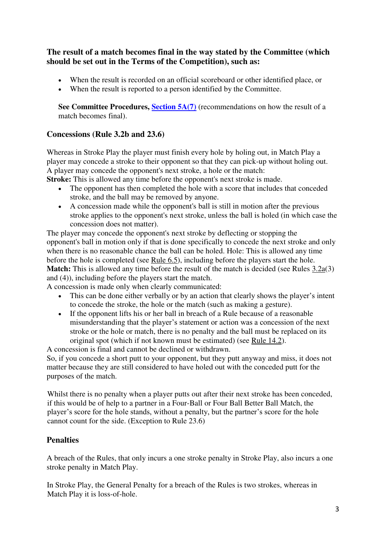#### **The result of a match becomes final in the way stated by the Committee (which should be set out in the Terms of the Competition), such as:**

- When the result is recorded on an official scoreboard or other identified place, or
- When the result is reported to a person identified by the Committee.

**See Committee Procedures, [Section 5A\(7\)](https://www.randa.org/en/rog/2019/rules/committee-procedures/5a#7)** (recommendations on how the result of a match becomes final).

#### **Concessions (Rule 3.2b and 23.6)**

Whereas in Stroke Play the player must finish every hole by holing out, in Match Play a player may concede a stroke to their opponent so that they can pick-up without holing out. A player may concede the opponent's next stroke, a hole or the match:

**Stroke:** This is allowed any time before the opponent's next stroke is made.

- The opponent has then completed the hole with a score that includes that conceded stroke, and the ball may be removed by anyone.
- A concession made while the opponent's ball is still in motion after the previous stroke applies to the opponent's next stroke, unless the ball is holed (in which case the concession does not matter).

The player may concede the opponent's next stroke by deflecting or stopping the opponent's ball in motion only if that is done specifically to concede the next stroke and only when there is no reasonable chance the ball can be holed. Hole: This is allowed any time before the hole is completed (see [Rule 6.5\)](https://www.randa.org/en/rog/2019/rules/the-rules-of-golf/rule-6#6-5), including before the players start the hole. **Match:** This is allowed any time before the result of the match is decided (see Rules [3.2a\(](https://www.randa.org/en/rog/2019/rules/the-rules-of-golf/rule-3#3-2a)3) and (4)), including before the players start the match.

A concession is made only when clearly communicated:

- This can be done either verbally or by an action that clearly shows the player's intent to concede the stroke, the hole or the match (such as making a gesture).
- If the opponent lifts his or her ball in breach of a Rule because of a reasonable misunderstanding that the player's statement or action was a concession of the next stroke or the hole or match, there is no penalty and the ball must be replaced on its original spot (which if not known must be estimated) (see [Rule 14.2\)](https://www.randa.org/en/rog/2019/rules/the-rules-of-golf/rule-14#14-2).

A concession is final and cannot be declined or withdrawn. So, if you concede a short putt to your opponent, but they putt anyway and miss, it does not matter because they are still considered to have holed out with the conceded putt for the

purposes of the match.

Whilst there is no penalty when a player putts out after their next stroke has been conceded, if this would be of help to a partner in a Four-Ball or Four Ball Better Ball Match, the player's score for the hole stands, without a penalty, but the partner's score for the hole cannot count for the side. (Exception to Rule 23.6)

#### **Penalties**

A breach of the Rules, that only incurs a one stroke penalty in Stroke Play, also incurs a one stroke penalty in Match Play.

In Stroke Play, the General Penalty for a breach of the Rules is two strokes, whereas in Match Play it is loss-of-hole.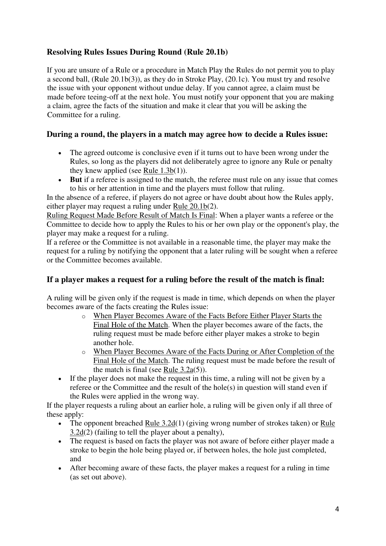# **Resolving Rules Issues During Round (Rule 20.1b)**

If you are unsure of a Rule or a procedure in Match Play the Rules do not permit you to play a second ball, (Rule 20.1b(3)), as they do in Stroke Play, (20.1c). You must try and resolve the issue with your opponent without undue delay. If you cannot agree, a claim must be made before teeing-off at the next hole. You must notify your opponent that you are making a claim, agree the facts of the situation and make it clear that you will be asking the Committee for a ruling.

#### **During a round, the players in a match may agree how to decide a Rules issue:**

- The agreed outcome is conclusive even if it turns out to have been wrong under the Rules, so long as the players did not deliberately agree to ignore any Rule or penalty they knew applied (see [Rule 1.3b\(](https://www.randa.org/en/rog/2019/rules/the-rules-of-golf/rule-1#1-3b)1)).
- **But** if a referee is assigned to the match, the referee must rule on any issue that comes to his or her attention in time and the players must follow that ruling.

In the absence of a referee, if players do not agree or have doubt about how the Rules apply, either player may request a ruling under [Rule 20.1b\(](https://www.randa.org/en/rog/2019/rules/the-rules-of-golf/rule-20#20-1b)2).

Ruling Request Made Before Result of Match Is Final: When a player wants a referee or the Committee to decide how to apply the Rules to his or her own play or the opponent's play, the player may make a request for a ruling.

If a referee or the Committee is not available in a reasonable time, the player may make the request for a ruling by notifying the opponent that a later ruling will be sought when a referee or the Committee becomes available.

# **If a player makes a request for a ruling before the result of the match is final:**

A ruling will be given only if the request is made in time, which depends on when the player becomes aware of the facts creating the Rules issue:

- o When Player Becomes Aware of the Facts Before Either Player Starts the Final Hole of the Match. When the player becomes aware of the facts, the ruling request must be made before either player makes a stroke to begin another hole.
- o When Player Becomes Aware of the Facts During or After Completion of the Final Hole of the Match. The ruling request must be made before the result of the match is final (see [Rule 3.2a\(](https://www.randa.org/en/rog/2019/rules/the-rules-of-golf/rule-3#3-2a)5)).
- If the player does not make the request in this time, a ruling will not be given by a referee or the Committee and the result of the hole(s) in question will stand even if the Rules were applied in the wrong way.

If the player requests a ruling about an earlier hole, a ruling will be given only if all three of these apply:

- The opponent breached [Rule 3.2d\(](https://www.randa.org/en/rog/2019/rules/the-rules-of-golf/rule-3#3-2d)1) (giving wrong number of strokes taken) or Rule [3.2d\(](https://www.randa.org/en/rog/2019/rules/the-rules-of-golf/rule-3#3-2d)2) (failing to tell the player about a penalty),
- The request is based on facts the player was not aware of before either player made a stroke to begin the hole being played or, if between holes, the hole just completed, and
- After becoming aware of these facts, the player makes a request for a ruling in time (as set out above).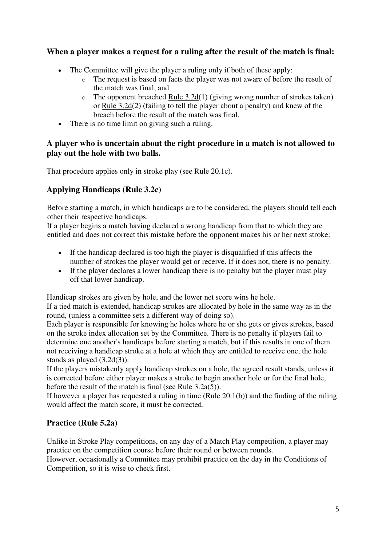#### **When a player makes a request for a ruling after the result of the match is final:**

- The Committee will give the player a ruling only if both of these apply:
	- o The request is based on facts the player was not aware of before the result of the match was final, and
	- $\circ$  The opponent breached [Rule 3.2d\(](https://www.randa.org/en/rog/2019/rules/the-rules-of-golf/rule-3#3-2d)1) (giving wrong number of strokes taken) or Rule  $3.2d(2)$  (failing to tell the player about a penalty) and knew of the breach before the result of the match was final.
- There is no time limit on giving such a ruling.

#### **A player who is uncertain about the right procedure in a match is not allowed to play out the hole with two balls.**

That procedure applies only in stroke play (see [Rule 20.1c\)](https://www.randa.org/en/rog/2019/rules/the-rules-of-golf/rule-20#20-1c).

# **Applying Handicaps (Rule 3.2c)**

Before starting a match, in which handicaps are to be considered, the players should tell each other their respective handicaps.

If a player begins a match having declared a wrong handicap from that to which they are entitled and does not correct this mistake before the opponent makes his or her next stroke:

- If the handicap declared is too high the player is disqualified if this affects the number of strokes the player would get or receive. If it does not, there is no penalty.
- If the player declares a lower handicap there is no penalty but the player must play off that lower handicap.

Handicap strokes are given by hole, and the lower net score wins he hole.

If a tied match is extended, handicap strokes are allocated by hole in the same way as in the round, (unless a committee sets a different way of doing so).

Each player is responsible for knowing he holes where he or she gets or gives strokes, based on the stroke index allocation set by the Committee. There is no penalty if players fail to determine one another's handicaps before starting a match, but if this results in one of them not receiving a handicap stroke at a hole at which they are entitled to receive one, the hole stands as played (3.2d(3)).

If the players mistakenly apply handicap strokes on a hole, the agreed result stands, unless it is corrected before either player makes a stroke to begin another hole or for the final hole, before the result of the match is final (see Rule  $3.2a(5)$ ).

If however a player has requested a ruling in time (Rule 20.1(b)) and the finding of the ruling would affect the match score, it must be corrected.

# **Practice (Rule 5.2a)**

Unlike in Stroke Play competitions, on any day of a Match Play competition, a player may practice on the competition course before their round or between rounds.

However, occasionally a Committee may prohibit practice on the day in the Conditions of Competition, so it is wise to check first.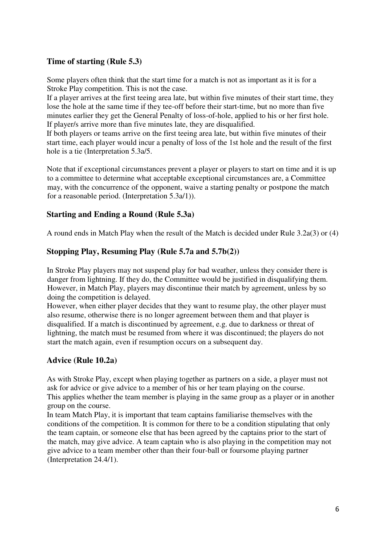#### **Time of starting (Rule 5.3)**

Some players often think that the start time for a match is not as important as it is for a Stroke Play competition. This is not the case.

If a player arrives at the first teeing area late, but within five minutes of their start time, they lose the hole at the same time if they tee-off before their start-time, but no more than five minutes earlier they get the General Penalty of loss-of-hole, applied to his or her first hole. If player/s arrive more than five minutes late, they are disqualified.

If both players or teams arrive on the first teeing area late, but within five minutes of their start time, each player would incur a penalty of loss of the 1st hole and the result of the first hole is a tie (Interpretation 5.3a/5.

Note that if exceptional circumstances prevent a player or players to start on time and it is up to a committee to determine what acceptable exceptional circumstances are, a Committee may, with the concurrence of the opponent, waive a starting penalty or postpone the match for a reasonable period. (Interpretation 5.3a/1)).

#### **Starting and Ending a Round (Rule 5.3a)**

A round ends in Match Play when the result of the Match is decided under Rule 3.2a(3) or (4)

#### **Stopping Play, Resuming Play (Rule 5.7a and 5.7b(2))**

In Stroke Play players may not suspend play for bad weather, unless they consider there is danger from lightning. If they do, the Committee would be justified in disqualifying them. However, in Match Play, players may discontinue their match by agreement, unless by so doing the competition is delayed.

However, when either player decides that they want to resume play, the other player must also resume, otherwise there is no longer agreement between them and that player is disqualified. If a match is discontinued by agreement, e.g. due to darkness or threat of lightning, the match must be resumed from where it was discontinued; the players do not start the match again, even if resumption occurs on a subsequent day.

# **Advice (Rule 10.2a)**

As with Stroke Play, except when playing together as partners on a side, a player must not ask for advice or give advice to a member of his or her team playing on the course. This applies whether the team member is playing in the same group as a player or in another group on the course.

In team Match Play, it is important that team captains familiarise themselves with the conditions of the competition. It is common for there to be a condition stipulating that only the team captain, or someone else that has been agreed by the captains prior to the start of the match, may give advice. A team captain who is also playing in the competition may not give advice to a team member other than their four-ball or foursome playing partner (Interpretation 24.4/1).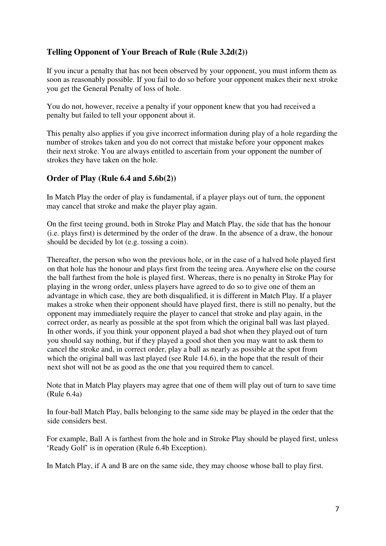#### **Telling Opponent of Your Breach of Rule (Rule 3.2d(2))**

If you incur a penalty that has not been observed by your opponent, you must inform them as soon as reasonably possible. If you fail to do so before your opponent makes their next stroke you get the General Penalty of loss of hole.

You do not, however, receive a penalty if your opponent knew that you had received a penalty but failed to tell your opponent about it.

This penalty also applies if you give incorrect information during play of a hole regarding the number of strokes taken and you do not correct that mistake before your opponent makes their next stroke. You are always entitled to ascertain from your opponent the number of strokes they have taken on the hole.

#### **Order of Play (Rule 6.4 and 5.6b(2))**

In Match Play the order of play is fundamental, if a player plays out of turn, the opponent may cancel that stroke and make the player play again.

On the first teeing ground, both in Stroke Play and Match Play, the side that has the honour (i.e. plays first) is determined by the order of the draw. In the absence of a draw, the honour should be decided by lot (e.g. tossing a coin).

Thereafter, the person who won the previous hole, or in the case of a halved hole played first on that hole has the honour and plays first from the teeing area. Anywhere else on the course the ball farthest from the hole is played first. Whereas, there is no penalty in Stroke Play for playing in the wrong order, unless players have agreed to do so to give one of them an advantage in which case, they are both disqualified, it is different in Match Play. If a player makes a stroke when their opponent should have played first, there is still no penalty, but the opponent may immediately require the player to cancel that stroke and play again, in the correct order, as nearly as possible at the spot from which the original ball was last played. In other words, if you think your opponent played a bad shot when they played out of turn you should say nothing, but if they played a good shot then you may want to ask them to cancel the stroke and, in correct order, play a ball as nearly as possible at the spot from which the original ball was last played (see Rule 14.6), in the hope that the result of their next shot will not be as good as the one that you required them to cancel.

Note that in Match Play players may agree that one of them will play out of turn to save time (Rule 6.4a)

In four-ball Match Play, balls belonging to the same side may be played in the order that the side considers best.

For example, Ball A is farthest from the hole and in Stroke Play should be played first, unless 'Ready Golf' is in operation (Rule 6.4b Exception).

In Match Play, if A and B are on the same side, they may choose whose ball to play first.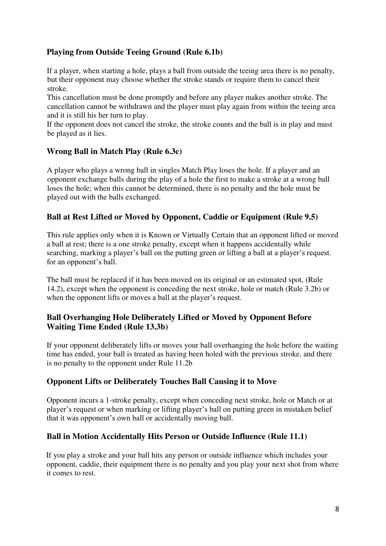# **Playing from Outside Teeing Ground (Rule 6.1b)**

If a player, when starting a hole, plays a ball from outside the teeing area there is no penalty, but their opponent may choose whether the stroke stands or require them to cancel their stroke.

This cancellation must be done promptly and before any player makes another stroke. The cancellation cannot be withdrawn and the player must play again from within the teeing area and it is still his her turn to play.

If the opponent does not cancel the stroke, the stroke counts and the ball is in play and must be played as it lies.

#### **Wrong Ball in Match Play (Rule 6.3c)**

A player who plays a wrong ball in singles Match Play loses the hole. If a player and an opponent exchange balls during the play of a hole the first to make a stroke at a wrong ball loses the hole; when this cannot be determined, there is no penalty and the hole must be played out with the balls exchanged.

#### **Ball at Rest Lifted or Moved by Opponent, Caddie or Equipment (Rule 9.5)**

This rule applies only when it is Known or Virtually Certain that an opponent lifted or moved a ball at rest; there is a one stroke penalty, except when it happens accidentally while searching, marking a player's ball on the putting green or lifting a ball at a player's request. for an opponent's ball.

The ball must be replaced if it has been moved on its original or an estimated spot, (Rule 14.2), except when the opponent is conceding the next stroke, hole or match (Rule 3.2b) or when the opponent lifts or moves a ball at the player's request.

#### **Ball Overhanging Hole Deliberately Lifted or Moved by Opponent Before Waiting Time Ended (Rule 13.3b)**

If your opponent deliberately lifts or moves your ball overhanging the hole before the waiting time has ended, your ball is treated as having been holed with the previous stroke, and there is no penalty to the opponent under Rule 11.2b

#### **Opponent Lifts or Deliberately Touches Ball Causing it to Move**

Opponent incurs a 1-stroke penalty, except when conceding next stroke, hole or Match or at player's request or when marking or lifting player's ball on putting green in mistaken belief that it was opponent's own ball or accidentally moving ball.

#### **Ball in Motion Accidentally Hits Person or Outside Influence (Rule 11.1)**

If you play a stroke and your ball hits any person or outside influence which includes your opponent, caddie, their equipment there is no penalty and you play your next shot from where it comes to rest.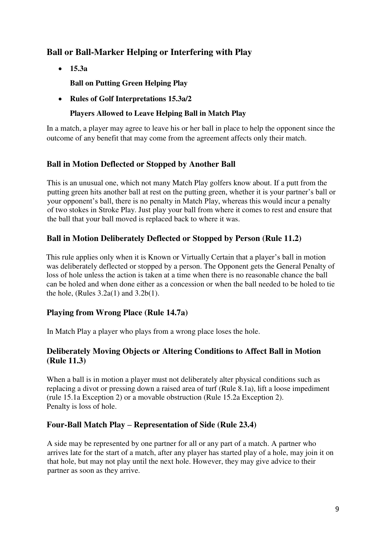# **Ball or Ball-Marker Helping or Interfering with Play**

• **15.3a** 

**Ball on Putting Green Helping Play** 

• **Rules of Golf Interpretations 15.3a/2** 

#### **Players Allowed to Leave Helping Ball in Match Play**

In a match, a player may agree to leave his or her ball in place to help the opponent since the outcome of any benefit that may come from the agreement affects only their match.

# **Ball in Motion Deflected or Stopped by Another Ball**

This is an unusual one, which not many Match Play golfers know about. If a putt from the putting green hits another ball at rest on the putting green, whether it is your partner's ball or your opponent's ball, there is no penalty in Match Play, whereas this would incur a penalty of two stokes in Stroke Play. Just play your ball from where it comes to rest and ensure that the ball that your ball moved is replaced back to where it was.

#### **Ball in Motion Deliberately Deflected or Stopped by Person (Rule 11.2)**

This rule applies only when it is Known or Virtually Certain that a player's ball in motion was deliberately deflected or stopped by a person. The Opponent gets the General Penalty of loss of hole unless the action is taken at a time when there is no reasonable chance the ball can be holed and when done either as a concession or when the ball needed to be holed to tie the hole, (Rules  $3.2a(1)$  and  $3.2b(1)$ .

# **Playing from Wrong Place (Rule 14.7a)**

In Match Play a player who plays from a wrong place loses the hole.

#### **Deliberately Moving Objects or Altering Conditions to Affect Ball in Motion (Rule 11.3)**

When a ball is in motion a player must not deliberately alter physical conditions such as replacing a divot or pressing down a raised area of turf (Rule 8.1a), lift a loose impediment (rule 15.1a Exception 2) or a movable obstruction (Rule 15.2a Exception 2). Penalty is loss of hole.

#### **Four-Ball Match Play – Representation of Side (Rule 23.4)**

A side may be represented by one partner for all or any part of a match. A partner who arrives late for the start of a match, after any player has started play of a hole, may join it on that hole, but may not play until the next hole. However, they may give advice to their partner as soon as they arrive.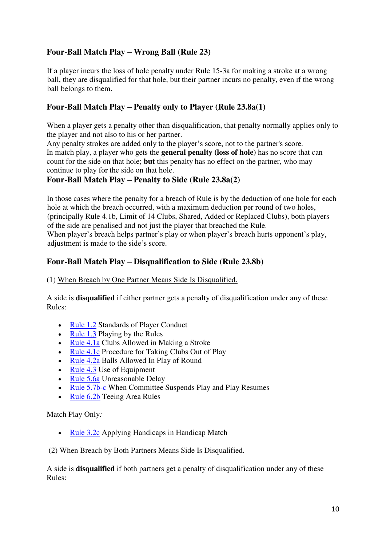# **Four-Ball Match Play – Wrong Ball (Rule 23)**

If a player incurs the loss of hole penalty under Rule 15-3a for making a stroke at a wrong ball, they are disqualified for that hole, but their partner incurs no penalty, even if the wrong ball belongs to them.

#### **Four-Ball Match Play – Penalty only to Player (Rule 23.8a(1)**

When a player gets a penalty other than disqualification, that penalty normally applies only to the player and not also to his or her partner.

Any penalty strokes are added only to the player's score, not to the partner's score. In match play, a player who gets the **general penalty (loss of hole)** has no score that can count for the side on that hole; **but** this penalty has no effect on the partner, who may continue to play for the side on that hole.

#### **Four-Ball Match Play – Penalty to Side (Rule 23.8a(2)**

In those cases where the penalty for a breach of Rule is by the deduction of one hole for each hole at which the breach occurred, with a maximum deduction per round of two holes, (principally Rule 4.1b, Limit of 14 Clubs, Shared, Added or Replaced Clubs), both players of the side are penalised and not just the player that breached the Rule. When player's breach helps partner's play or when player's breach hurts opponent's play, adjustment is made to the side's score.

#### **Four-Ball Match Play – Disqualification to Side (Rule 23.8b)**

#### (1) When Breach by One Partner Means Side Is Disqualified.

A side is **disqualified** if either partner gets a penalty of disqualification under any of these Rules:

- [Rule 1.2](https://www.randa.org/en/rog/2019/rules/the-rules-of-golf/rule-1#1-2) Standards of Player Conduct
- [Rule 1.3](https://www.randa.org/en/rog/2019/rules/the-rules-of-golf/rule-1#1-3) Playing by the Rules
- [Rule 4.1a](https://www.randa.org/en/rog/2019/rules/the-rules-of-golf/rule-4#4-1a) Clubs Allowed in Making a Stroke
- [Rule 4.1c](https://www.randa.org/en/rog/2019/rules/the-rules-of-golf/rule-4#4-1c) Procedure for Taking Clubs Out of Play
- [Rule 4.2a](https://www.randa.org/en/rog/2019/rules/the-rules-of-golf/rule-4#4-2a) Balls Allowed In Play of Round
- [Rule 4.3](https://www.randa.org/en/rog/2019/rules/the-rules-of-golf/rule-4#4-3) Use of Equipment
- [Rule 5.6a](https://www.randa.org/en/rog/2019/rules/the-rules-of-golf/rule-5#5-6a) Unreasonable Delay
- [Rule 5.7b-c](https://www.randa.org/en/rog/2019/rules/the-rules-of-golf/rule-5#5-7b) When Committee Suspends Play and Play Resumes
- [Rule 6.2b](https://www.randa.org/en/rog/2019/rules/the-rules-of-golf/rule-6#6-2b) Teeing Area Rules

#### Match Play Only*:*

• [Rule 3.2c](https://www.randa.org/en/rog/2019/rules/the-rules-of-golf/rule-3#3-2c) Applying Handicaps in Handicap Match

#### (2) When Breach by Both Partners Means Side Is Disqualified*.*

A side is **disqualified** if both partners get a penalty of disqualification under any of these Rules: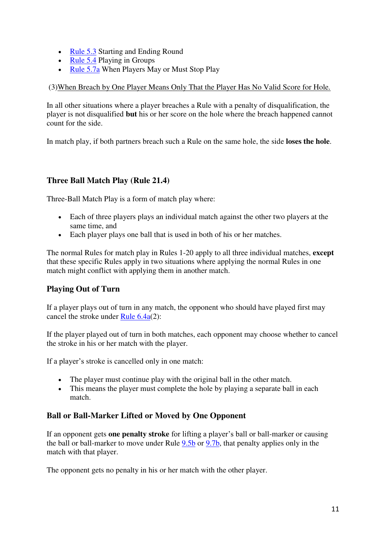- [Rule 5.3](https://www.randa.org/en/rog/2019/rules/the-rules-of-golf/rule-5#5-3) Starting and Ending Round
- [Rule 5.4](https://www.randa.org/en/rog/2019/rules/the-rules-of-golf/rule-5#5-4) Playing in Groups
- [Rule 5.7a](https://www.randa.org/en/rog/2019/rules/the-rules-of-golf/rule-5#5-7a) When Players May or Must Stop Play

(3)When Breach by One Player Means Only That the Player Has No Valid Score for Hole*.*

In all other situations where a player breaches a Rule with a penalty of disqualification, the player is not disqualified **but** his or her score on the hole where the breach happened cannot count for the side.

In match play, if both partners breach such a Rule on the same hole, the side **loses the hole**.

# **Three Ball Match Play (Rule 21.4)**

Three-Ball Match Play is a form of match play where:

- Each of three players plays an individual match against the other two players at the same time, and
- Each player plays one ball that is used in both of his or her matches.

The normal Rules for match play in Rules 1-20 apply to all three individual matches, **except** that these specific Rules apply in two situations where applying the normal Rules in one match might conflict with applying them in another match.

# **Playing Out of Turn**

If a player plays out of turn in any match, the opponent who should have played first may cancel the stroke under [Rule 6.4a\(](https://www.randa.org/en/rog/2019/rules/the-rules-of-golf/rule-6#6-4a)2):

If the player played out of turn in both matches, each opponent may choose whether to cancel the stroke in his or her match with the player.

If a player's stroke is cancelled only in one match:

- The player must continue play with the original ball in the other match.
- This means the player must complete the hole by playing a separate ball in each match.

# **Ball or Ball-Marker Lifted or Moved by One Opponent**

If an opponent gets **one penalty stroke** for lifting a player's ball or ball-marker or causing the ball or ball-marker to move under Rule [9.5b](https://www.randa.org/en/rog/2019/rules/the-rules-of-golf/rule-9#9-5b) or [9.7b,](https://www.randa.org/en/rog/2019/rules/the-rules-of-golf/rule-9#9-7b) that penalty applies only in the match with that player.

The opponent gets no penalty in his or her match with the other player.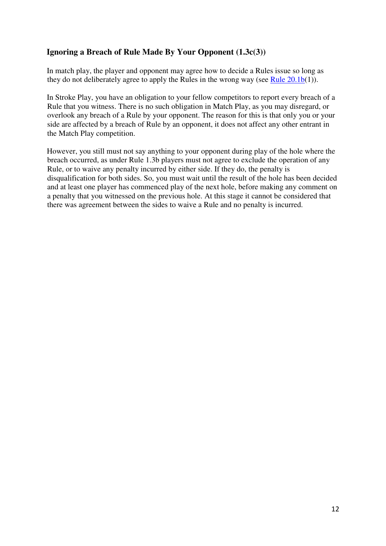#### **Ignoring a Breach of Rule Made By Your Opponent (1.3c(3))**

In match play, the player and opponent may agree how to decide a Rules issue so long as they do not deliberately agree to apply the Rules in the wrong way (see [Rule](https://www.randa.org/en/rog/2019/rules/the-rules-of-golf/rule-20#20-1) [20.1b\(](https://www.randa.org/en/rog/2019/rules/the-rules-of-golf/rule-20#20-1b)1)).

In Stroke Play, you have an obligation to your fellow competitors to report every breach of a Rule that you witness. There is no such obligation in Match Play, as you may disregard, or overlook any breach of a Rule by your opponent. The reason for this is that only you or your side are affected by a breach of Rule by an opponent, it does not affect any other entrant in the Match Play competition.

However, you still must not say anything to your opponent during play of the hole where the breach occurred, as under Rule 1.3b players must not agree to exclude the operation of any Rule, or to waive any penalty incurred by either side. If they do, the penalty is disqualification for both sides. So, you must wait until the result of the hole has been decided and at least one player has commenced play of the next hole, before making any comment on a penalty that you witnessed on the previous hole. At this stage it cannot be considered that there was agreement between the sides to waive a Rule and no penalty is incurred.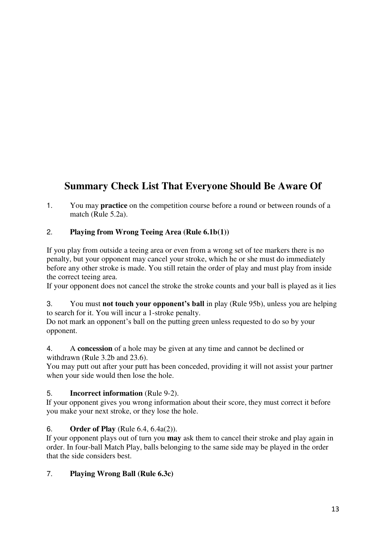# **Summary Check List That Everyone Should Be Aware Of**

1. You may **practice** on the competition course before a round or between rounds of a match (Rule 5.2a).

#### 2. **Playing from Wrong Teeing Area (Rule 6.1b(1))**

If you play from outside a teeing area or even from a wrong set of tee markers there is no penalty, but your opponent may cancel your stroke, which he or she must do immediately before any other stroke is made. You still retain the order of play and must play from inside the correct teeing area.

If your opponent does not cancel the stroke the stroke counts and your ball is played as it lies

3. You must **not touch your opponent's ball** in play (Rule 95b), unless you are helping to search for it. You will incur a 1-stroke penalty.

Do not mark an opponent's ball on the putting green unless requested to do so by your opponent.

4. A **concession** of a hole may be given at any time and cannot be declined or withdrawn (Rule 3.2b and 23.6).

You may putt out after your putt has been conceded, providing it will not assist your partner when your side would then lose the hole.

#### 5. **Incorrect information** (Rule 9-2).

If your opponent gives you wrong information about their score, they must correct it before you make your next stroke, or they lose the hole.

#### 6. **Order of Play** (Rule 6.4, 6.4a(2)).

If your opponent plays out of turn you **may** ask them to cancel their stroke and play again in order. In four-ball Match Play, balls belonging to the same side may be played in the order that the side considers best.

#### 7. **Playing Wrong Ball (Rule 6.3c)**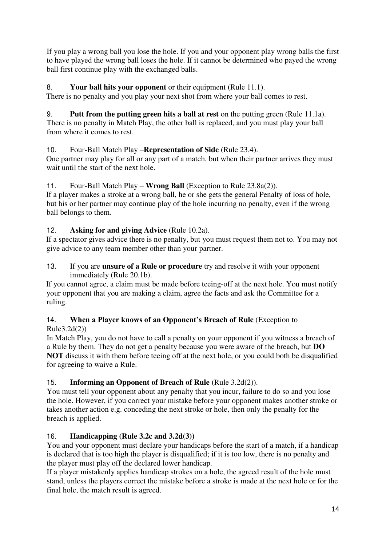If you play a wrong ball you lose the hole. If you and your opponent play wrong balls the first to have played the wrong ball loses the hole. If it cannot be determined who payed the wrong ball first continue play with the exchanged balls.

#### 8. **Your ball hits your opponent** or their equipment (Rule 11.1).

There is no penalty and you play your next shot from where your ball comes to rest.

9. **Putt from the putting green hits a ball at rest** on the putting green (Rule 11.1a). There is no penalty in Match Play, the other ball is replaced, and you must play your ball from where it comes to rest.

# 10. Four-Ball Match Play –**Representation of Side** (Rule 23.4).

One partner may play for all or any part of a match, but when their partner arrives they must wait until the start of the next hole.

#### 11. Four-Ball Match Play – **Wrong Ball** (Exception to Rule 23.8a(2)).

If a player makes a stroke at a wrong ball, he or she gets the general Penalty of loss of hole, but his or her partner may continue play of the hole incurring no penalty, even if the wrong ball belongs to them.

#### 12. **Asking for and giving Advice** (Rule 10.2a).

If a spectator gives advice there is no penalty, but you must request them not to. You may not give advice to any team member other than your partner.

13. If you are **unsure of a Rule or procedure** try and resolve it with your opponent immediately (Rule 20.1b).

If you cannot agree, a claim must be made before teeing-off at the next hole. You must notify your opponent that you are making a claim, agree the facts and ask the Committee for a ruling.

#### 14. **When a Player knows of an Opponent's Breach of Rule** (Exception to Rule3.2d(2))

In Match Play, you do not have to call a penalty on your opponent if you witness a breach of a Rule by them. They do not get a penalty because you were aware of the breach, but **DO NOT** discuss it with them before teeing off at the next hole, or you could both be disqualified for agreeing to waive a Rule.

# 15. **Informing an Opponent of Breach of Rule** (Rule 3.2d(2)).

You must tell your opponent about any penalty that you incur, failure to do so and you lose the hole. However, if you correct your mistake before your opponent makes another stroke or takes another action e.g. conceding the next stroke or hole, then only the penalty for the breach is applied.

# 16. **Handicapping (Rule 3.2c and 3.2d(3))**

You and your opponent must declare your handicaps before the start of a match, if a handicap is declared that is too high the player is disqualified; if it is too low, there is no penalty and the player must play off the declared lower handicap.

If a player mistakenly applies handicap strokes on a hole, the agreed result of the hole must stand, unless the players correct the mistake before a stroke is made at the next hole or for the final hole, the match result is agreed.